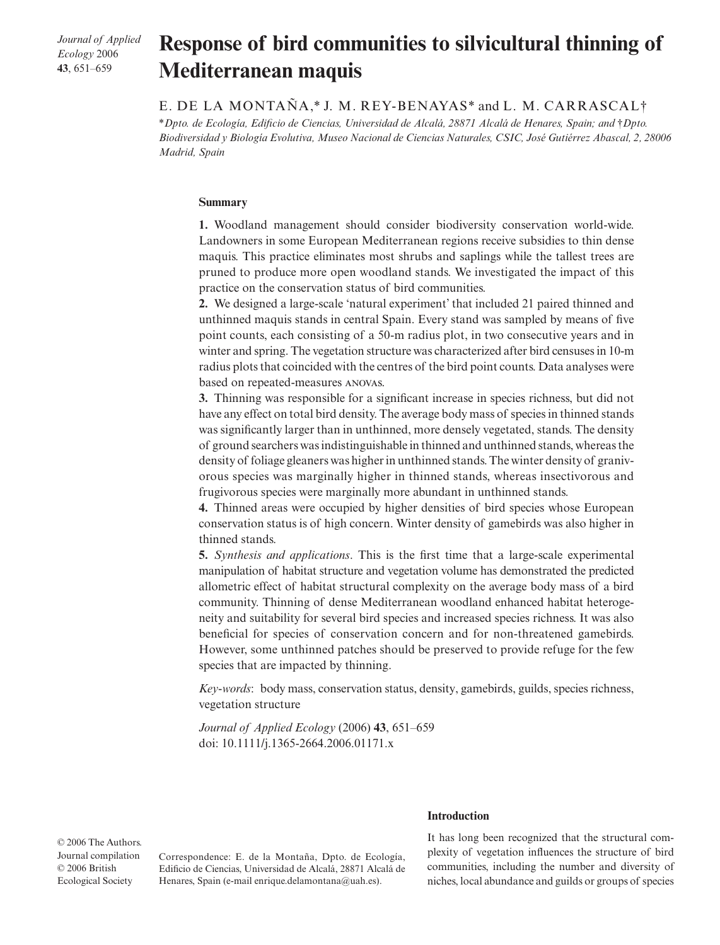*Journal of Applied Ecology* 2006 **43**, 651–659

# Response of bird communities to silvicultural thinning of **Mediterranean maquis**

E. DE LA MONTAÑA,\* J. M. REY-BENAYAS\* and L. M. CARRASCAL†

\**Dpto. de Ecología, Edificio de Ciencias, Universidad de Alcalá, 28871 Alcalá de Henares, Spain; and* †*Dpto. Biodiversidad y Biología Evolutiva, Museo Nacional de Ciencias Naturales, CSIC, José Gutiérrez Abascal, 2, 28006 Madrid, Spain* 

# **Summary**

**1.** Woodland management should consider biodiversity conservation world-wide. Landowners in some European Mediterranean regions receive subsidies to thin dense maquis. This practice eliminates most shrubs and saplings while the tallest trees are pruned to produce more open woodland stands. We investigated the impact of this practice on the conservation status of bird communities.

**2.** We designed a large-scale 'natural experiment' that included 21 paired thinned and unthinned maquis stands in central Spain. Every stand was sampled by means of five point counts, each consisting of a 50-m radius plot, in two consecutive years and in winter and spring. The vegetation structure was characterized after bird censuses in 10-m radius plots that coincided with the centres of the bird point counts. Data analyses were based on repeated-measures ANOVAS.

**3.** Thinning was responsible for a significant increase in species richness, but did not have any effect on total bird density. The average body mass of species in thinned stands was significantly larger than in unthinned, more densely vegetated, stands. The density of ground searchers was indistinguishable in thinned and unthinned stands, whereas the density of foliage gleaners was higher in unthinned stands. The winter density of granivorous species was marginally higher in thinned stands, whereas insectivorous and frugivorous species were marginally more abundant in unthinned stands.

**4.** Thinned areas were occupied by higher densities of bird species whose European conservation status is of high concern. Winter density of gamebirds was also higher in thinned stands.

**5.** *Synthesis and applications*. This is the first time that a large-scale experimental manipulation of habitat structure and vegetation volume has demonstrated the predicted allometric effect of habitat structural complexity on the average body mass of a bird community. Thinning of dense Mediterranean woodland enhanced habitat heterogeneity and suitability for several bird species and increased species richness. It was also beneficial for species of conservation concern and for non-threatened gamebirds. However, some unthinned patches should be preserved to provide refuge for the few species that are impacted by thinning.

*Key-words*: body mass, conservation status, density, gamebirds, guilds, species richness, vegetation structure

*Journal of Applied Ecology* (2006) **43**, 651–659 doi: 10.1111/j.1365-2664.2006.01171.x

# **Introduction**

© 2006 The Authors. Journal compilation © 2006 British Ecological Society

Correspondence: E. de la Montaña, Dpto. de Ecología, Edificio de Ciencias, Universidad de Alcalá, 28871 Alcalá de Henares, Spain (e-mail enrique.delamontana@uah.es).

It has long been recognized that the structural complexity of vegetation influences the structure of bird communities, including the number and diversity of niches, local abundance and guilds or groups of species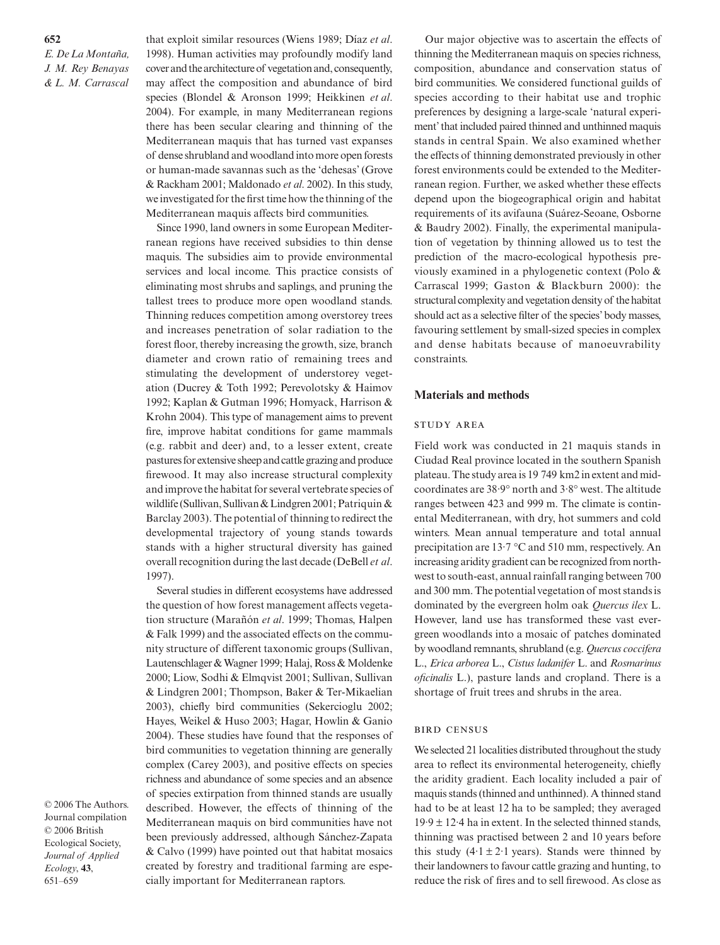**652** *E. De La Montaña, J. M. Rey Benayas & L. M. Carrascal* that exploit similar resources (Wiens 1989; Díaz *et al*. 1998). Human activities may profoundly modify land cover and the architecture of vegetation and, consequently, may affect the composition and abundance of bird species (Blondel & Aronson 1999; Heikkinen *et al*. 2004). For example, in many Mediterranean regions there has been secular clearing and thinning of the Mediterranean maquis that has turned vast expanses of dense shrubland and woodland into more open forests or human-made savannas such as the 'dehesas' (Grove & Rackham 2001; Maldonado *et al*. 2002). In this study, we investigated for the first time how the thinning of the Mediterranean maquis affects bird communities.

Since 1990, land owners in some European Mediterranean regions have received subsidies to thin dense maquis. The subsidies aim to provide environmental services and local income. This practice consists of eliminating most shrubs and saplings, and pruning the tallest trees to produce more open woodland stands. Thinning reduces competition among overstorey trees and increases penetration of solar radiation to the forest floor, thereby increasing the growth, size, branch diameter and crown ratio of remaining trees and stimulating the development of understorey vegetation (Ducrey & Toth 1992; Perevolotsky & Haimov 1992; Kaplan & Gutman 1996; Homyack, Harrison & Krohn 2004). This type of management aims to prevent fire, improve habitat conditions for game mammals (e.g. rabbit and deer) and, to a lesser extent, create pastures for extensive sheep and cattle grazing and produce firewood. It may also increase structural complexity and improve the habitat for several vertebrate species of wildlife (Sullivan, Sullivan & Lindgren 2001; Patriquin & Barclay 2003). The potential of thinning to redirect the developmental trajectory of young stands towards stands with a higher structural diversity has gained overall recognition during the last decade (DeBell *et al*. 1997).

Several studies in different ecosystems have addressed the question of how forest management affects vegetation structure (Marañón *et al*. 1999; Thomas, Halpen & Falk 1999) and the associated effects on the community structure of different taxonomic groups (Sullivan, Lautenschlager & Wagner 1999; Halaj, Ross & Moldenke 2000; Liow, Sodhi & Elmqvist 2001; Sullivan, Sullivan & Lindgren 2001; Thompson, Baker & Ter-Mikaelian 2003), chiefly bird communities (Sekercioglu 2002; Hayes, Weikel & Huso 2003; Hagar, Howlin & Ganio 2004). These studies have found that the responses of bird communities to vegetation thinning are generally complex (Carey 2003), and positive effects on species richness and abundance of some species and an absence of species extirpation from thinned stands are usually described. However, the effects of thinning of the Mediterranean maquis on bird communities have not been previously addressed, although Sánchez-Zapata & Calvo (1999) have pointed out that habitat mosaics created by forestry and traditional farming are especially important for Mediterranean raptors.

© 2006 The Authors. Journal compilation © 2006 British Ecological Society, *Journal of Applied Ecology*, **43**, 651–659

Our major objective was to ascertain the effects of thinning the Mediterranean maquis on species richness, composition, abundance and conservation status of bird communities. We considered functional guilds of species according to their habitat use and trophic preferences by designing a large-scale 'natural experiment' that included paired thinned and unthinned maquis stands in central Spain. We also examined whether the effects of thinning demonstrated previously in other forest environments could be extended to the Mediterranean region. Further, we asked whether these effects depend upon the biogeographical origin and habitat requirements of its avifauna (Suárez-Seoane, Osborne & Baudry 2002). Finally, the experimental manipulation of vegetation by thinning allowed us to test the prediction of the macro-ecological hypothesis previously examined in a phylogenetic context (Polo & Carrascal 1999; Gaston & Blackburn 2000): the structural complexity and vegetation density of the habitat should act as a selective filter of the species' body masses, favouring settlement by small-sized species in complex and dense habitats because of manoeuvrability constraints.

## **Materials and methods**

#### **STUDY AREA**

Field work was conducted in 21 maquis stands in Ciudad Real province located in the southern Spanish plateau. The study area is 19 749 km2 in extent and midcoordinates are 38·9° north and 3·8° west. The altitude ranges between 423 and 999 m. The climate is continental Mediterranean, with dry, hot summers and cold winters. Mean annual temperature and total annual precipitation are 13·7 °C and 510 mm, respectively. An increasing aridity gradient can be recognized from northwest to south-east, annual rainfall ranging between 700 and 300 mm. The potential vegetation of most stands is dominated by the evergreen holm oak *Quercus ilex* L. However, land use has transformed these vast evergreen woodlands into a mosaic of patches dominated by woodland remnants, shrubland (e.g. *Quercus coccifera* L., *Erica arborea* L., *Cistus ladanifer* L. and *Rosmarinus oficinalis* L.), pasture lands and cropland. There is a shortage of fruit trees and shrubs in the area.

## **BIRD CENSUS**

We selected 21 localities distributed throughout the study area to reflect its environmental heterogeneity, chiefly the aridity gradient. Each locality included a pair of maquis stands (thinned and unthinned). A thinned stand had to be at least 12 ha to be sampled; they averaged  $19.9 \pm 12.4$  ha in extent. In the selected thinned stands, thinning was practised between 2 and 10 years before this study  $(4.1 \pm 2.1 \text{ years})$ . Stands were thinned by their landowners to favour cattle grazing and hunting, to reduce the risk of fires and to sell firewood. As close as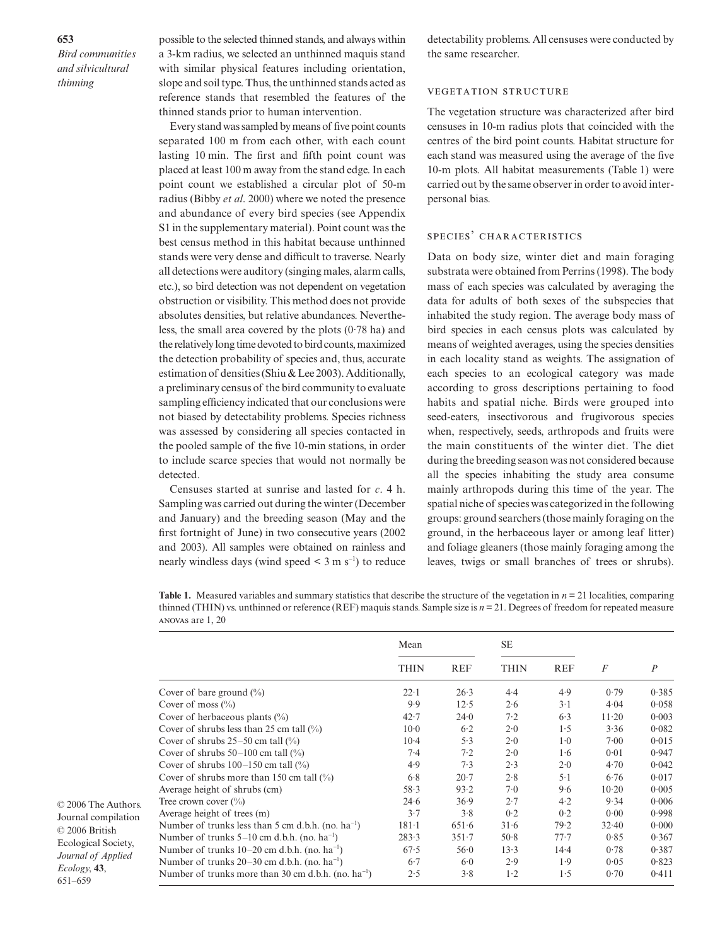*Bird communities and silvicultural thinning*

© 2006 The Authors. Journal compilation © 2006 British Ecological Society, *Journal of Applied Ecology*, **43**, 651–659

possible to the selected thinned stands, and always within a 3-km radius, we selected an unthinned maquis stand with similar physical features including orientation, slope and soil type. Thus, the unthinned stands acted as reference stands that resembled the features of the thinned stands prior to human intervention.

Every stand was sampled by means of five point counts separated 100 m from each other, with each count lasting 10 min. The first and fifth point count was placed at least 100 m away from the stand edge. In each point count we established a circular plot of 50-m radius (Bibby *et al*. 2000) where we noted the presence and abundance of every bird species (see Appendix S1 in the supplementary material). Point count was the best census method in this habitat because unthinned stands were very dense and difficult to traverse. Nearly all detections were auditory (singing males, alarm calls, etc.), so bird detection was not dependent on vegetation obstruction or visibility. This method does not provide absolutes densities, but relative abundances. Nevertheless, the small area covered by the plots (0·78 ha) and the relatively long time devoted to bird counts, maximized the detection probability of species and, thus, accurate estimation of densities (Shiu & Lee 2003). Additionally, a preliminary census of the bird community to evaluate sampling efficiency indicated that our conclusions were not biased by detectability problems. Species richness was assessed by considering all species contacted in the pooled sample of the five 10-min stations, in order to include scarce species that would not normally be detected.

Censuses started at sunrise and lasted for *c*. 4 h. Sampling was carried out during the winter (December and January) and the breeding season (May and the first fortnight of June) in two consecutive years (2002 and 2003). All samples were obtained on rainless and nearly windless days (wind speed  $\leq$  3 m s<sup>-1</sup>) to reduce

detectability problems. All censuses were conducted by the same researcher.

# VEGETATION STRUCTURE

The vegetation structure was characterized after bird censuses in 10-m radius plots that coincided with the centres of the bird point counts. Habitat structure for each stand was measured using the average of the five 10-m plots. All habitat measurements (Table 1) were carried out by the same observer in order to avoid interpersonal bias.

# SPECIES' CHARACTERISTICS

Data on body size, winter diet and main foraging substrata were obtained from Perrins (1998). The body mass of each species was calculated by averaging the data for adults of both sexes of the subspecies that inhabited the study region. The average body mass of bird species in each census plots was calculated by means of weighted averages, using the species densities in each locality stand as weights. The assignation of each species to an ecological category was made according to gross descriptions pertaining to food habits and spatial niche. Birds were grouped into seed-eaters, insectivorous and frugivorous species when, respectively, seeds, arthropods and fruits were the main constituents of the winter diet. The diet during the breeding season was not considered because all the species inhabiting the study area consume mainly arthropods during this time of the year. The spatial niche of species was categorized in the following groups: ground searchers (those mainly foraging on the ground, in the herbaceous layer or among leaf litter) and foliage gleaners (those mainly foraging among the leaves, twigs or small branches of trees or shrubs).

**Table 1.** Measured variables and summary statistics that describe the structure of the vegetation in  $n = 21$  localities, comparing thinned (THIN) vs. unthinned or reference (REF) maquis stands. Sample size is *n* = 21. Degrees of freedom for repeated measure anovas are 1, 20

|                                                                 | Mean         |            | <b>SE</b>   |            |                |                |
|-----------------------------------------------------------------|--------------|------------|-------------|------------|----------------|----------------|
|                                                                 | <b>THIN</b>  | <b>REF</b> | <b>THIN</b> | <b>REF</b> | $\overline{F}$ | $\overline{P}$ |
| Cover of bare ground $(\% )$                                    | $22 \cdot 1$ | 26.3       | 4.4         | 4.9        | 0.79           | 0.385          |
| Cover of moss $(\%$ )                                           | 9.9          | 12.5       | 2.6         | $3-1$      | 4.04           | 0.058          |
| Cover of herbaceous plants (%)                                  | 42.7         | 24.0       | 7.2         | 6.3        | $11-20$        | 0.003          |
| Cover of shrubs less than 25 cm tall $(\%)$                     | $10-0$       | 6.2        | 2.0         | 1.5        | 3.36           | 0.082          |
| Cover of shrubs $25-50$ cm tall $(\%$ )                         | $10-4$       | 5.3        | 2.0         | $1-0$      | 7.00           | 0.015          |
| Cover of shrubs $50-100$ cm tall $\frac{9}{6}$                  | $7-4$        | 7.2        | 2.0         | 1·6        | 0.01           | 0.947          |
| Cover of shrubs $100-150$ cm tall $\binom{0}{0}$                | 4.9          | 7.3        | 2.3         | 2.0        | 4.70           | 0.042          |
| Cover of shrubs more than 150 cm tall $(\%)$                    | 6.8          | 20.7       | 2.8         | $5-1$      | 6.76           | 0.017          |
| Average height of shrubs (cm)                                   | 58.3         | 93.2       | 7.0         | 9.6        | $10-20$        | 0.005          |
| Tree crown cover $(\% )$                                        | 24.6         | 36.9       | 2.7         | 4.2        | 9.34           | 0.006          |
| Average height of trees (m)                                     | 3.7          | 3.8        | 0.2         | 0.2        | 0.00           | 0.998          |
| Number of trunks less than 5 cm d.b.h. (no. $ha^{-1}$ )         | $181-1$      | 651.6      | 31.6        | 79.2       | 32.40          | 0.000          |
| Number of trunks $5-10$ cm d.b.h. (no. ha <sup>-1</sup> )       | 283.3        | $351 - 7$  | 50.8        | $77-7$     | 0.85           | 0.367          |
| Number of trunks $10-20$ cm d.b.h. (no. ha <sup>-1</sup> )      | 67.5         | 56.0       | 13.3        | 14.4       | 0.78           | 0.387          |
| Number of trunks $20-30$ cm d.b.h. (no. ha <sup>-1</sup> )      | 6.7          | 6.0        | 2.9         | 1.9        | 0.05           | 0.823          |
| Number of trunks more than 30 cm d.b.h. (no. ha <sup>-1</sup> ) | 2.5          | 3.8        | 1.2         | 1.5        | 0.70           | 0.411          |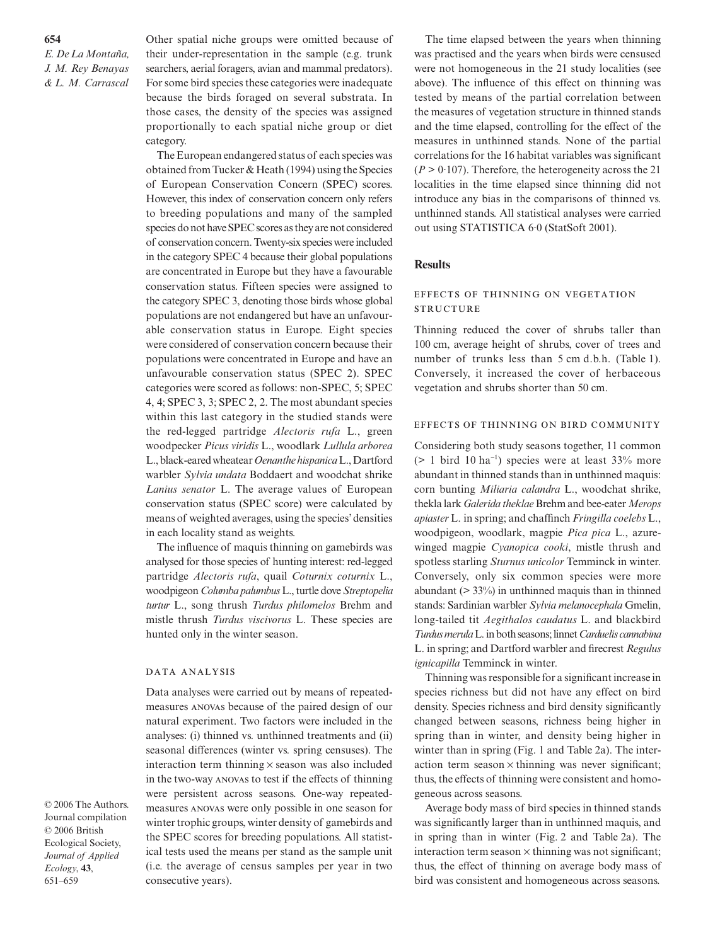*E. De La Montaña, J. M. Rey Benayas & L. M. Carrascal* Other spatial niche groups were omitted because of their under-representation in the sample (e.g. trunk searchers, aerial foragers, avian and mammal predators). For some bird species these categories were inadequate because the birds foraged on several substrata. In those cases, the density of the species was assigned proportionally to each spatial niche group or diet category.

The European endangered status of each species was obtained from Tucker & Heath (1994) using the Species of European Conservation Concern (SPEC) scores. However, this index of conservation concern only refers to breeding populations and many of the sampled species do not have SPEC scores as they are not considered of conservation concern. Twenty-six species were included in the category SPEC 4 because their global populations are concentrated in Europe but they have a favourable conservation status. Fifteen species were assigned to the category SPEC 3, denoting those birds whose global populations are not endangered but have an unfavourable conservation status in Europe. Eight species were considered of conservation concern because their populations were concentrated in Europe and have an unfavourable conservation status (SPEC 2). SPEC categories were scored as follows: non-SPEC, 5; SPEC 4, 4; SPEC 3, 3; SPEC 2, 2. The most abundant species within this last category in the studied stands were the red-legged partridge *Alectoris rufa* L., green woodpecker *Picus viridis* L., woodlark *Lullula arborea* L., black-eared wheatear *Oenanthe hispanica*L., Dartford warbler *Sylvia undata* Boddaert and woodchat shrike *Lanius senator* L. The average values of European conservation status (SPEC score) were calculated by means of weighted averages, using the species' densities in each locality stand as weights.

The influence of maquis thinning on gamebirds was analysed for those species of hunting interest: red-legged partridge *Alectoris rufa*, quail *Coturnix coturnix* L., woodpigeon *Columba palumbus*L., turtle dove *Streptopelia turtur* L., song thrush *Turdus philomelos* Brehm and mistle thrush *Turdus viscivorus* L. These species are hunted only in the winter season.

### DATA ANALYSIS

Data analyses were carried out by means of repeatedmeasures ANOVAS because of the paired design of our natural experiment. Two factors were included in the analyses: (i) thinned vs. unthinned treatments and (ii) seasonal differences (winter vs. spring censuses). The interaction term thinning  $\times$  season was also included in the two-way anovas to test if the effects of thinning were persistent across seasons. One-way repeatedmeasures anovas were only possible in one season for winter trophic groups, winter density of gamebirds and the SPEC scores for breeding populations. All statistical tests used the means per stand as the sample unit (i.e. the average of census samples per year in two consecutive years).

The time elapsed between the years when thinning was practised and the years when birds were censused were not homogeneous in the 21 study localities (see above). The influence of this effect on thinning was tested by means of the partial correlation between the measures of vegetation structure in thinned stands and the time elapsed, controlling for the effect of the measures in unthinned stands. None of the partial correlations for the 16 habitat variables was significant  $(P > 0.107)$ . Therefore, the heterogeneity across the 21 localities in the time elapsed since thinning did not introduce any bias in the comparisons of thinned vs. unthinned stands. All statistical analyses were carried out using STATISTICA 6·0 (StatSoft 2001).

# **Results**

# EFFECTS OF THINNING ON VEGETATION **STRUCTURE**

Thinning reduced the cover of shrubs taller than 100 cm, average height of shrubs, cover of trees and number of trunks less than 5 cm d.b.h. (Table 1). Conversely, it increased the cover of herbaceous vegetation and shrubs shorter than 50 cm.

# EFFECTS OF THINNING ON BIRD COMMUNITY

Considering both study seasons together, 11 common (> 1 bird 10 ha<sup>−</sup><sup>1</sup> ) species were at least 33% more abundant in thinned stands than in unthinned maquis: corn bunting *Miliaria calandra* L., woodchat shrike, thekla lark *Galerida theklae*Brehm and bee-eater *Merops apiaster* L. in spring; and chaffinch *Fringilla coelebs* L., woodpigeon, woodlark, magpie *Pica pica* L., azurewinged magpie *Cyanopica cooki*, mistle thrush and spotless starling *Sturnus unicolor* Temminck in winter. Conversely, only six common species were more abundant  $($  > 33 $\%)$  in unthinned maquis than in thinned stands: Sardinian warbler *Sylvia melanocephala* Gmelin, long-tailed tit *Aegithalos caudatus* L. and blackbird *Turdus merula*L. in both seasons; linnet *Carduelis cannabina* L. in spring; and Dartford warbler and firecrest *Regulus ignicapilla* Temminck in winter.

Thinning was responsible for a significant increase in species richness but did not have any effect on bird density. Species richness and bird density significantly changed between seasons, richness being higher in spring than in winter, and density being higher in winter than in spring (Fig. 1 and Table 2a). The interaction term season  $\times$  thinning was never significant; thus, the effects of thinning were consistent and homogeneous across seasons.

Average body mass of bird species in thinned stands was significantly larger than in unthinned maquis, and in spring than in winter (Fig. 2 and Table 2a). The interaction term season  $\times$  thinning was not significant; thus, the effect of thinning on average body mass of bird was consistent and homogeneous across seasons.

© 2006 The Authors. Journal compilation © 2006 British Ecological Society, *Journal of Applied Ecology*, **43**, 651–659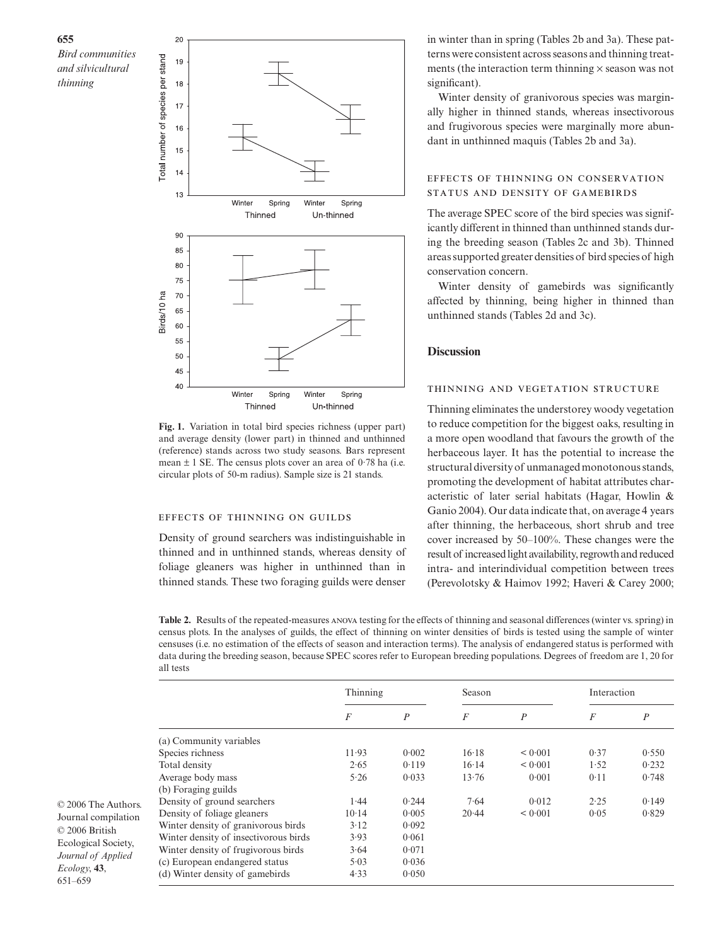

**Fig. 1.** Variation in total bird species richness (upper part) and average density (lower part) in thinned and unthinned (reference) stands across two study seasons. Bars represent mean  $\pm$  1 SE. The census plots cover an area of 0.78 ha (i.e. circular plots of 50-m radius). Sample size is 21 stands.

# EFFECTS OF THINNING ON GUILDS

Density of ground searchers was indistinguishable in thinned and in unthinned stands, whereas density of foliage gleaners was higher in unthinned than in thinned stands. These two foraging guilds were denser in winter than in spring (Tables 2b and 3a). These patterns were consistent across seasons and thinning treatments (the interaction term thinning  $\times$  season was not significant).

Winter density of granivorous species was marginally higher in thinned stands, whereas insectivorous and frugivorous species were marginally more abundant in unthinned maquis (Tables 2b and 3a).

# EFFECTS OF THINNING ON CONSERVATION STATUS AND DENSITY OF GAMEBIRDS

The average SPEC score of the bird species was significantly different in thinned than unthinned stands during the breeding season (Tables 2c and 3b). Thinned areas supported greater densities of bird species of high conservation concern.

Winter density of gamebirds was significantly affected by thinning, being higher in thinned than unthinned stands (Tables 2d and 3c).

### **Discussion**

### THINNING AND VEGETATION STRUCTURE

Thinning eliminates the understorey woody vegetation to reduce competition for the biggest oaks, resulting in a more open woodland that favours the growth of the herbaceous layer. It has the potential to increase the structural diversity of unmanaged monotonous stands, promoting the development of habitat attributes characteristic of later serial habitats (Hagar, Howlin & Ganio 2004). Our data indicate that, on average 4 years after thinning, the herbaceous, short shrub and tree cover increased by 50–100%. These changes were the result of increased light availability, regrowth and reduced intra- and interindividual competition between trees (Perevolotsky & Haimov 1992; Haveri & Carey 2000;

Table 2. Results of the repeated-measures ANOVA testing for the effects of thinning and seasonal differences (winter vs. spring) in census plots. In the analyses of guilds, the effect of thinning on winter densities of birds is tested using the sample of winter censuses (i.e. no estimation of the effects of season and interaction terms). The analysis of endangered status is performed with data during the breeding season, because SPEC scores refer to European breeding populations. Degrees of freedom are 1, 20 for all tests

|                                       | Thinning         |                  | Season           |                | Interaction      |                  |
|---------------------------------------|------------------|------------------|------------------|----------------|------------------|------------------|
|                                       | $\boldsymbol{F}$ | $\boldsymbol{P}$ | $\boldsymbol{F}$ | $\overline{P}$ | $\boldsymbol{F}$ | $\boldsymbol{P}$ |
| (a) Community variables               |                  |                  |                  |                |                  |                  |
| Species richness                      | 11.93            | 0.002            | 16.18            | < 0.001        | 0.37             | 0.550            |
| Total density                         | 2.65             | 0.119            | 16.14            | < 0.001        | 1.52             | 0.232            |
| Average body mass                     | 5.26             | 0.033            | 13.76            | 0.001          | 0.11             | 0.748            |
| (b) Foraging guilds                   |                  |                  |                  |                |                  |                  |
| Density of ground searchers           | 1.44             | 0.244            | 7.64             | 0.012          | 2.25             | 0.149            |
| Density of foliage gleaners           | $10 \cdot 14$    | 0.005            | 20.44            | < 0.001        | 0.05             | 0.829            |
| Winter density of granivorous birds   | 3.12             | 0.092            |                  |                |                  |                  |
| Winter density of insectivorous birds | 3.93             | 0.061            |                  |                |                  |                  |
| Winter density of frugivorous birds   | 3.64             | 0.071            |                  |                |                  |                  |
| (c) European endangered status        | 5.03             | 0.036            |                  |                |                  |                  |
| (d) Winter density of gamebirds       | 4.33             | 0.050            |                  |                |                  |                  |

© 2006 The Authors. Journal compilation © 2006 British Ecological Society, *Journal of Applied Ecology*, **43**, 651–659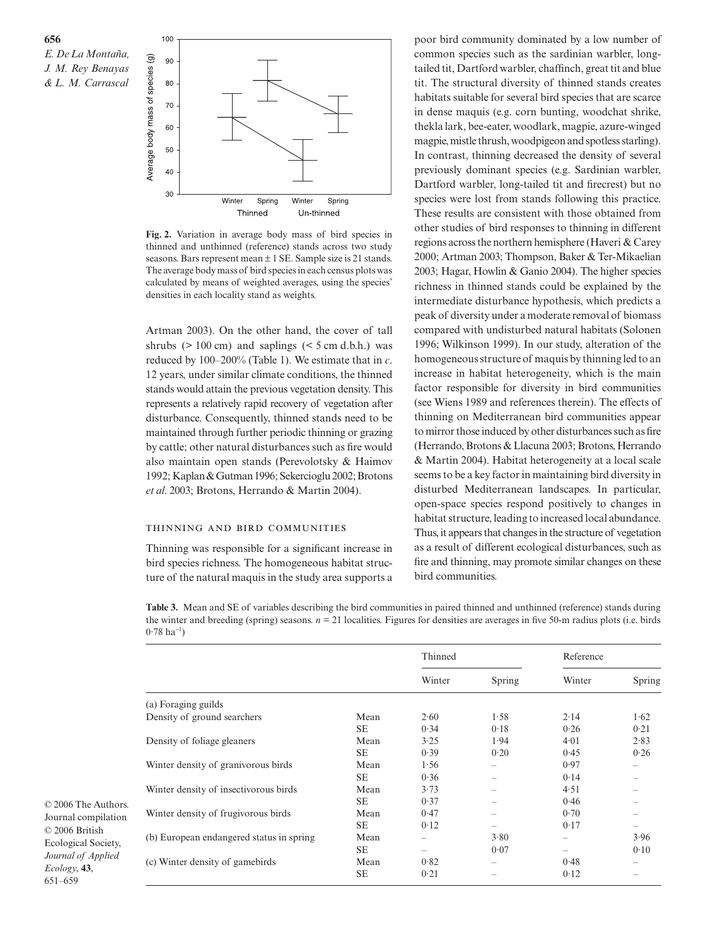

**Fig. 2.** Variation in average body mass of bird species in thinned and unthinned (reference) stands across two study seasons. Bars represent mean ± 1 SE. Sample size is 21 stands. The average body mass of bird species in each census plots was calculated by means of weighted averages, using the species' densities in each locality stand as weights.

Artman 2003). On the other hand, the cover of tall shrubs  $(> 100 \text{ cm})$  and saplings  $(< 5 \text{ cm d.b.h.})$  was reduced by 100–200% (Table 1). We estimate that in *c*. 12 years, under similar climate conditions, the thinned stands would attain the previous vegetation density. This represents a relatively rapid recovery of vegetation after disturbance. Consequently, thinned stands need to be maintained through further periodic thinning or grazing by cattle; other natural disturbances such as fire would also maintain open stands (Perevolotsky & Haimov 1992; Kaplan & Gutman 1996; Sekercioglu 2002; Brotons *et al*. 2003; Brotons, Herrando & Martin 2004).

## THINNING AND BIRD COMMUNITIES

Thinning was responsible for a significant increase in bird species richness. The homogeneous habitat structure of the natural maquis in the study area supports a

poor bird community dominated by a low number of common species such as the sardinian warbler, longtailed tit, Dartford warbler, chaffinch, great tit and blue tit. The structural diversity of thinned stands creates habitats suitable for several bird species that are scarce in dense maquis (e.g. corn bunting, woodchat shrike, thekla lark, bee-eater, woodlark, magpie, azure-winged magpie, mistle thrush, woodpigeon and spotless starling). In contrast, thinning decreased the density of several previously dominant species (e.g. Sardinian warbler, Dartford warbler, long-tailed tit and firecrest) but no species were lost from stands following this practice. These results are consistent with those obtained from other studies of bird responses to thinning in different regions across the northern hemisphere (Haveri & Carey 2000; Artman 2003; Thompson, Baker & Ter-Mikaelian 2003; Hagar, Howlin & Ganio 2004). The higher species richness in thinned stands could be explained by the intermediate disturbance hypothesis, which predicts a peak of diversity under a moderate removal of biomass compared with undisturbed natural habitats (Solonen 1996; Wilkinson 1999). In our study, alteration of the homogeneous structure of maquis by thinning led to an increase in habitat heterogeneity, which is the main factor responsible for diversity in bird communities (see Wiens 1989 and references therein). The effects of thinning on Mediterranean bird communities appear to mirror those induced by other disturbances such as fire (Herrando, Brotons & Llacuna 2003; Brotons, Herrando & Martin 2004). Habitat heterogeneity at a local scale seems to be a key factor in maintaining bird diversity in disturbed Mediterranean landscapes. In particular, open-space species respond positively to changes in habitat structure, leading to increased local abundance. Thus, it appears that changes in the structure of vegetation as a result of different ecological disturbances, such as fire and thinning, may promote similar changes on these bird communities.

**Table 3.** Mean and SE of variables describing the bird communities in paired thinned and unthinned (reference) stands during the winter and breeding (spring) seasons.  $n = 21$  localities. Figures for densities are averages in five 50-m radius plots (i.e. birds 0·78 ha<sup>−</sup><sup>1</sup> )

|                                          |           | Thinned                  |        | Reference |                          |
|------------------------------------------|-----------|--------------------------|--------|-----------|--------------------------|
|                                          |           | Winter                   | Spring | Winter    | Spring                   |
| (a) Foraging guilds                      |           |                          |        |           |                          |
| Density of ground searchers              | Mean      | 2.60                     | 1.58   | 2.14      | 1.62                     |
|                                          | <b>SE</b> | 0.34                     | 0.18   | 0.26      | 0.21                     |
| Density of foliage gleaners              | Mean      | 3.25                     | 1.94   | 4.01      | 2.83                     |
|                                          | <b>SE</b> | 0.39                     | 0.20   | 0.45      | 0.26                     |
| Winter density of granivorous birds      | Mean      | 1.56                     |        | 0.97      |                          |
|                                          | <b>SE</b> | 0.36                     |        | 0.14      |                          |
| Winter density of insectivorous birds    | Mean      | 3.73                     |        | 4.51      |                          |
|                                          | <b>SE</b> | 0.37                     |        | 0.46      |                          |
| Winter density of frugivorous birds      | Mean      | 0.47                     |        | 0.70      |                          |
|                                          | <b>SE</b> | 0.12                     |        | 0.17      | $\overline{\phantom{a}}$ |
| (b) European endangered status in spring | Mean      |                          | 3.80   |           | 3.96                     |
|                                          | <b>SE</b> | $\overline{\phantom{a}}$ | 0.07   |           | 0.10                     |
| (c) Winter density of gamebirds          | Mean      | 0.82                     |        | 0.48      |                          |
|                                          | <b>SE</b> | 0.21                     |        | 0.12      |                          |

© 2006 The Authors. Journal compilation © 2006 British Ecological Society, *Journal of Applied Ecology*, **43**, 651–659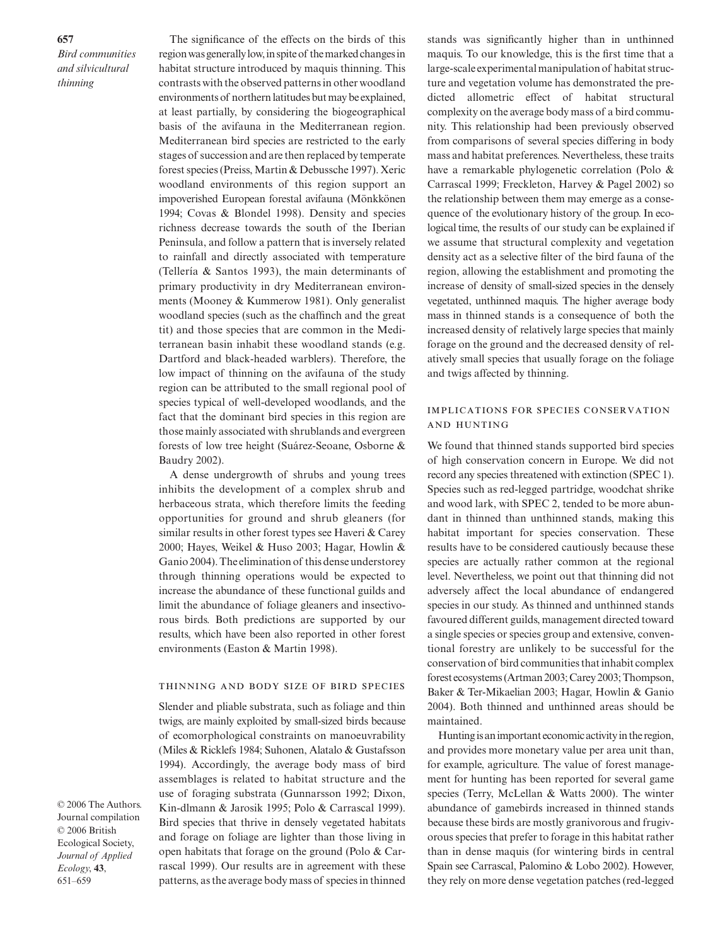*Bird communities and silvicultural thinning*

The significance of the effects on the birds of this region was generally low, in spite of the marked changes in habitat structure introduced by maquis thinning. This contrasts with the observed patterns in other woodland environments of northern latitudes but may be explained, at least partially, by considering the biogeographical basis of the avifauna in the Mediterranean region. Mediterranean bird species are restricted to the early stages of succession and are then replaced by temperate forest species (Preiss, Martin & Debussche 1997). Xeric woodland environments of this region support an impoverished European forestal avifauna (Mönkkönen 1994; Covas & Blondel 1998). Density and species richness decrease towards the south of the Iberian Peninsula, and follow a pattern that is inversely related to rainfall and directly associated with temperature (Tellería & Santos 1993), the main determinants of primary productivity in dry Mediterranean environments (Mooney & Kummerow 1981). Only generalist woodland species (such as the chaffinch and the great tit) and those species that are common in the Mediterranean basin inhabit these woodland stands (e.g. Dartford and black-headed warblers). Therefore, the low impact of thinning on the avifauna of the study region can be attributed to the small regional pool of species typical of well-developed woodlands, and the fact that the dominant bird species in this region are those mainly associated with shrublands and evergreen forests of low tree height (Suárez-Seoane, Osborne & Baudry 2002).

A dense undergrowth of shrubs and young trees inhibits the development of a complex shrub and herbaceous strata, which therefore limits the feeding opportunities for ground and shrub gleaners (for similar results in other forest types see Haveri & Carey 2000; Hayes, Weikel & Huso 2003; Hagar, Howlin & Ganio 2004). The elimination of this dense understorey through thinning operations would be expected to increase the abundance of these functional guilds and limit the abundance of foliage gleaners and insectivorous birds. Both predictions are supported by our results, which have been also reported in other forest environments (Easton & Martin 1998).

#### THINNING AND BODY SIZE OF BIRD SPECIES

Slender and pliable substrata, such as foliage and thin twigs, are mainly exploited by small-sized birds because of ecomorphological constraints on manoeuvrability (Miles & Ricklefs 1984; Suhonen, Alatalo & Gustafsson 1994). Accordingly, the average body mass of bird assemblages is related to habitat structure and the use of foraging substrata (Gunnarsson 1992; Dixon, Kin-dlmann & Jarosik 1995; Polo & Carrascal 1999). Bird species that thrive in densely vegetated habitats and forage on foliage are lighter than those living in open habitats that forage on the ground (Polo & Carrascal 1999). Our results are in agreement with these patterns, as the average body mass of species in thinned

stands was significantly higher than in unthinned maquis. To our knowledge, this is the first time that a large-scale experimental manipulation of habitat structure and vegetation volume has demonstrated the predicted allometric effect of habitat structural complexity on the average body mass of a bird community. This relationship had been previously observed from comparisons of several species differing in body mass and habitat preferences. Nevertheless, these traits have a remarkable phylogenetic correlation (Polo & Carrascal 1999; Freckleton, Harvey & Pagel 2002) so the relationship between them may emerge as a consequence of the evolutionary history of the group. In ecological time, the results of our study can be explained if we assume that structural complexity and vegetation density act as a selective filter of the bird fauna of the region, allowing the establishment and promoting the increase of density of small-sized species in the densely vegetated, unthinned maquis. The higher average body mass in thinned stands is a consequence of both the increased density of relatively large species that mainly forage on the ground and the decreased density of relatively small species that usually forage on the foliage and twigs affected by thinning.

# IMPLICATIONS FOR SPECIES CONSERVATION **AND HUNTING**

We found that thinned stands supported bird species of high conservation concern in Europe. We did not record any species threatened with extinction (SPEC 1). Species such as red-legged partridge, woodchat shrike and wood lark, with SPEC 2, tended to be more abundant in thinned than unthinned stands, making this habitat important for species conservation. These results have to be considered cautiously because these species are actually rather common at the regional level. Nevertheless, we point out that thinning did not adversely affect the local abundance of endangered species in our study. As thinned and unthinned stands favoured different guilds, management directed toward a single species or species group and extensive, conventional forestry are unlikely to be successful for the conservation of bird communities that inhabit complex forest ecosystems (Artman 2003; Carey 2003; Thompson, Baker & Ter-Mikaelian 2003; Hagar, Howlin & Ganio 2004). Both thinned and unthinned areas should be maintained.

Hunting is an important economic activity in the region, and provides more monetary value per area unit than, for example, agriculture. The value of forest management for hunting has been reported for several game species (Terry, McLellan & Watts 2000). The winter abundance of gamebirds increased in thinned stands because these birds are mostly granivorous and frugivorous species that prefer to forage in this habitat rather than in dense maquis (for wintering birds in central Spain see Carrascal, Palomino & Lobo 2002). However, they rely on more dense vegetation patches (red-legged

© 2006 The Authors. Journal compilation © 2006 British Ecological Society, *Journal of Applied Ecology*, **43**, 651–659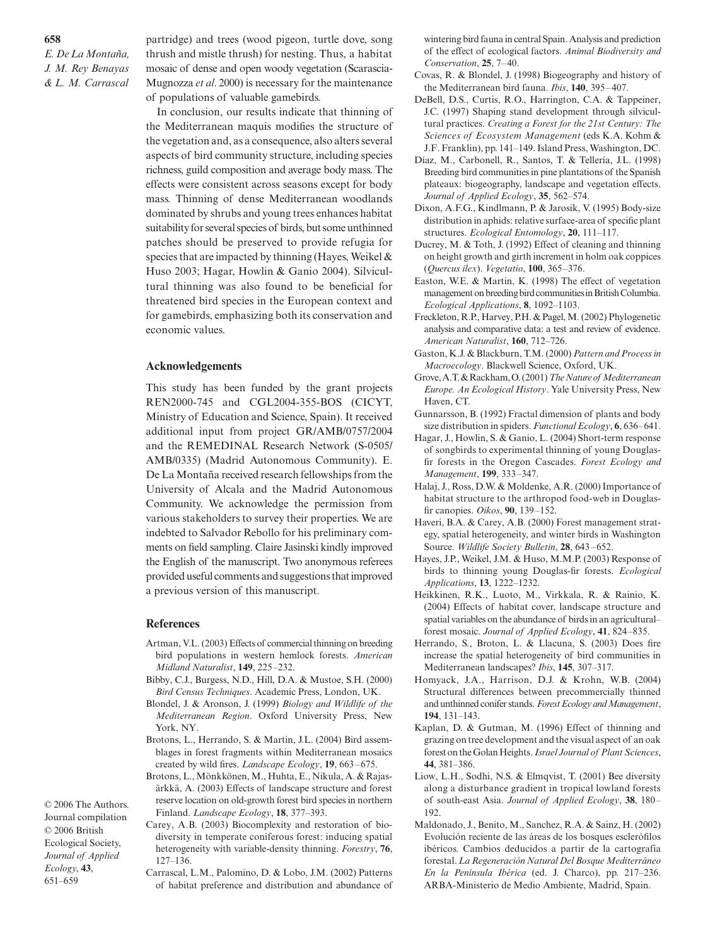*E. De La Montaña, J. M. Rey Benayas & L. M. Carrascal* partridge) and trees (wood pigeon, turtle dove, song thrush and mistle thrush) for nesting. Thus, a habitat mosaic of dense and open woody vegetation (Scarascia-Mugnozza *et al*. 2000) is necessary for the maintenance of populations of valuable gamebirds.

In conclusion, our results indicate that thinning of the Mediterranean maquis modifies the structure of the vegetation and, as a consequence, also alters several aspects of bird community structure, including species richness, guild composition and average body mass. The effects were consistent across seasons except for body mass. Thinning of dense Mediterranean woodlands dominated by shrubs and young trees enhances habitat suitability for several species of birds, but some unthinned patches should be preserved to provide refugia for species that are impacted by thinning (Hayes, Weikel  $\&$ Huso 2003; Hagar, Howlin & Ganio 2004). Silvicultural thinning was also found to be beneficial for threatened bird species in the European context and for gamebirds, emphasizing both its conservation and economic values.

# **Acknowledgements**

This study has been funded by the grant projects REN2000-745 and CGL2004-355-BOS (CICYT, Ministry of Education and Science, Spain). It received additional input from project GR/AMB/0757/2004 and the REMEDINAL Research Network (S-0505/ AMB/0335) (Madrid Autonomous Community). E. De La Montaña received research fellowships from the University of Alcala and the Madrid Autonomous Community. We acknowledge the permission from various stakeholders to survey their properties. We are indebted to Salvador Rebollo for his preliminary comments on field sampling. Claire Jasinski kindly improved the English of the manuscript. Two anonymous referees provided useful comments and suggestions that improved a previous version of this manuscript.

#### **References**

- Artman, V.L. (2003) Effects of commercial thinning on breeding bird populations in western hemlock forests. *American Midland Naturalist*, **149**, 225–232.
- Bibby, C.J., Burgess, N.D., Hill, D.A. & Mustoe, S.H. (2000) *Bird Census Techniques*. Academic Press, London, UK.
- Blondel, J. & Aronson, J. (1999) *Biology and Wildlife of the Mediterranean Region*. Oxford University Press, New York, NY.
- Brotons, L., Herrando, S. & Martin, J.L. (2004) Bird assemblages in forest fragments within Mediterranean mosaics created by wild fires. *Landscape Ecology*, **19**, 663–675.
- Brotons, L., Mönkkönen, M., Huhta, E., Nikula, A. & Rajasärkkä, A. (2003) Effects of landscape structure and forest reserve location on old-growth forest bird species in northern Finland. *Landscape Ecology*, **18**, 377–393.
- Journal compilation © 2006 British Ecological Society, *Journal of Applied Ecology*, **43**, 651–659 Carey, A.B. (2003) Biocomplexity and restoration of biodiversity in temperate coniferous forest: inducing spatial 127–136.

© 2006 The Authors.

- heterogeneity with variable-density thinning. *Forestry*, **76**, Carrascal, L.M., Palomino, D. & Lobo, J.M. (2002) Patterns
- of habitat preference and distribution and abundance of

wintering bird fauna in central Spain. Analysis and prediction of the effect of ecological factors. *Animal Biodiversity and Conservation*, **25**, 7–40.

- Covas, R. & Blondel, J. (1998) Biogeography and history of the Mediterranean bird fauna. *Ibis*, **140**, 395–407.
- DeBell, D.S., Curtis, R.O., Harrington, C.A. & Tappeiner, J.C. (1997) Shaping stand development through silvicultural practices. *Creating a Forest for the 21st Century: The Sciences of Ecosystem Management* (eds K.A. Kohm & J.F. Franklin), pp. 141–149. Island Press, Washington, DC.
- Díaz, M., Carbonell, R., Santos, T. & Tellería, J.L. (1998) Breeding bird communities in pine plantations of the Spanish plateaux: biogeography, landscape and vegetation effects. *Journal of Applied Ecology*, **35**, 562–574.
- Dixon, A.F.G., Kindlmann, P. & Jarosik, V. (1995) Body-size distribution in aphids: relative surface-area of specific plant structures. *Ecological Entomology*, **20**, 111–117.
- Ducrey, M. & Toth, J. (1992) Effect of cleaning and thinning on height growth and girth increment in holm oak coppices (*Quercus ilex*). *Vegetatio*, **100**, 365–376.
- Easton, W.E. & Martin, K. (1998) The effect of vegetation management on breeding bird communities in British Columbia. *Ecological Applications*, **8**, 1092–1103.
- Freckleton, R.P., Harvey, P.H. & Pagel, M. (2002) Phylogenetic analysis and comparative data: a test and review of evidence. *American Naturalist*, **160**, 712–726.
- Gaston, K.J. & Blackburn, T.M. (2000) *Pattern and Process in Macroecology*. Blackwell Science, Oxford, UK.
- Grove, A.T. & Rackham, O. (2001) *The Nature of Mediterranean Europe. An Ecological History*. Yale University Press, New Haven, CT.
- Gunnarsson, B. (1992) Fractal dimension of plants and body size distribution in spiders. *Functional Ecology*, **6**, 636–641.
- Hagar, J., Howlin, S. & Ganio, L. (2004) Short-term response of songbirds to experimental thinning of young Douglasfir forests in the Oregon Cascades. *Forest Ecology and Management*, **199**, 333–347.
- Halaj, J., Ross, D.W. & Moldenke, A.R. (2000) Importance of habitat structure to the arthropod food-web in Douglasfir canopies. *Oikos*, **90**, 139–152.
- Haveri, B.A. & Carey, A.B. (2000) Forest management strategy, spatial heterogeneity, and winter birds in Washington Source. *Wildlife Society Bulletin*, **28**, 643–652.
- Hayes, J.P., Weikel, J.M. & Huso, M.M.P. (2003) Response of birds to thinning young Douglas-fir forests. *Ecological Applications*, **13**, 1222–1232.
- Heikkinen, R.K., Luoto, M., Virkkala, R. & Rainio, K. (2004) Effects of habitat cover, landscape structure and spatial variables on the abundance of birds in an agricultural– forest mosaic. *Journal of Applied Ecology*, **41**, 824–835.
- Herrando, S., Broton, L. & Llacuna, S. (2003) Does fire increase the spatial heterogeneity of bird communities in Mediterranean landscapes? *Ibis*, **145**, 307–317.
- Homyack, J.A., Harrison, D.J. & Krohn, W.B. (2004) Structural differences between precommercially thinned and unthinned conifer stands. *Forest Ecology and Management*, **194**, 131–143.
- Kaplan, D. & Gutman, M. (1996) Effect of thinning and grazing on tree development and the visual aspect of an oak forest on the Golan Heights. *Israel Journal of Plant Sciences*, **44**, 381–386.
- Liow, L.H., Sodhi, N.S. & Elmqvist, T. (2001) Bee diversity along a disturbance gradient in tropical lowland forests of south-east Asia. *Journal of Applied Ecology*, **38**, 180– 192.
- Maldonado, J., Benito, M., Sanchez, R.A. & Sainz, H. (2002) Evolución reciente de las áreas de los bosques esclerófilos ibéricos. Cambios deducidos a partir de la cartografía forestal. *La Regeneración Natural Del Bosque Mediterráneo En la Península Ibérica* (ed. J. Charco), pp. 217–236. ARBA-Ministerio de Medio Ambiente, Madrid, Spain.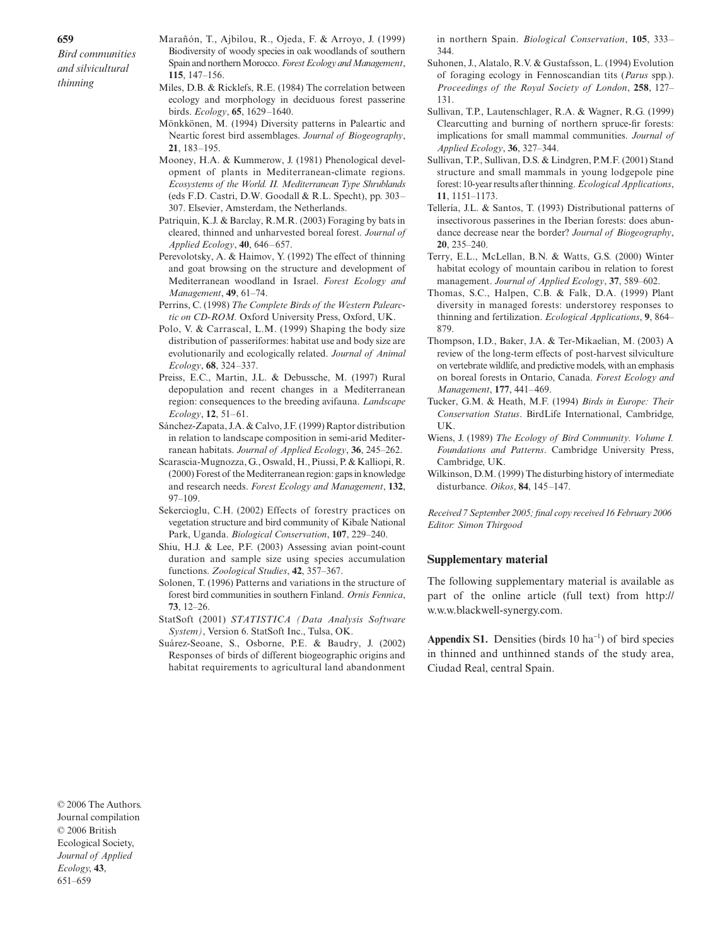*Bird communities and silvicultural thinning*

- Marañón, T., Ajbilou, R., Ojeda, F. & Arroyo, J. (1999) Biodiversity of woody species in oak woodlands of southern Spain and northern Morocco. *Forest Ecology and Management*, **115**, 147–156.
- Miles, D.B. & Ricklefs, R.E. (1984) The correlation between ecology and morphology in deciduous forest passerine birds. *Ecology*, **65**, 1629–1640.
- Mönkkönen, M. (1994) Diversity patterns in Paleartic and Neartic forest bird assemblages. *Journal of Biogeography*, **21**, 183–195.
- Mooney, H.A. & Kummerow, J. (1981) Phenological development of plants in Mediterranean-climate regions. *Ecosystems of the World. II. Mediterranean Type Shrublands* (eds F.D. Castri, D.W. Goodall & R.L. Specht), pp. 303– 307. Elsevier, Amsterdam, the Netherlands.
- Patriquin, K.J. & Barclay, R.M.R. (2003) Foraging by bats in cleared, thinned and unharvested boreal forest. *Journal of Applied Ecology*, **40**, 646–657.
- Perevolotsky, A. & Haimov, Y. (1992) The effect of thinning and goat browsing on the structure and development of Mediterranean woodland in Israel. *Forest Ecology and Management*, **49**, 61–74.
- Perrins, C. (1998) *The Complete Birds of the Western Palearctic on CD-ROM.* Oxford University Press, Oxford, UK.
- Polo, V. & Carrascal, L.M. (1999) Shaping the body size distribution of passeriformes: habitat use and body size are evolutionarily and ecologically related. *Journal of Animal Ecology*, **68**, 324–337.
- Preiss, E.C., Martin, J.L. & Debussche, M. (1997) Rural depopulation and recent changes in a Mediterranean region: consequences to the breeding avifauna. *Landscape Ecology*, **12**, 51–61.
- Sánchez-Zapata, J.A. & Calvo, J.F. (1999) Raptor distribution in relation to landscape composition in semi-arid Mediterranean habitats. *Journal of Applied Ecology*, **36**, 245–262.
- Scarascia-Mugnozza, G., Oswald, H., Piussi, P. & Kalliopi, R. (2000) Forest of the Mediterranean region: gaps in knowledge and research needs. *Forest Ecology and Management*, **132**, 97–109.
- Sekercioglu, C.H. (2002) Effects of forestry practices on vegetation structure and bird community of Kibale National Park, Uganda. *Biological Conservation*, **107**, 229–240.
- Shiu, H.J. & Lee, P.F. (2003) Assessing avian point-count duration and sample size using species accumulation functions. *Zoological Studies*, **42**, 357–367.
- Solonen, T. (1996) Patterns and variations in the structure of forest bird communities in southern Finland. *Ornis Fennica*, **73**, 12–26.
- StatSoft (2001) *STATISTICA (Data Analysis Software System)*, Version 6. StatSoft Inc., Tulsa, OK.
- Suárez-Seoane, S., Osborne, P.E. & Baudry, J. (2002) Responses of birds of different biogeographic origins and habitat requirements to agricultural land abandonment

in northern Spain. *Biological Conservation*, **105**, 333– 344.

- Suhonen, J., Alatalo, R.V. & Gustafsson, L. (1994) Evolution of foraging ecology in Fennoscandian tits (*Parus* spp.). *Proceedings of the Royal Society of London*, **258**, 127– 131.
- Sullivan, T.P., Lautenschlager, R.A. & Wagner, R.G. (1999) Clearcutting and burning of northern spruce-fir forests: implications for small mammal communities. *Journal of Applied Ecology*, **36**, 327–344.
- Sullivan, T.P., Sullivan, D.S. & Lindgren, P.M.F. (2001) Stand structure and small mammals in young lodgepole pine forest: 10-year results after thinning. *Ecological Applications*, **11**, 1151–1173.
- Tellería, J.L. & Santos, T. (1993) Distributional patterns of insectivorous passerines in the Iberian forests: does abundance decrease near the border? *Journal of Biogeography*, **20**, 235–240.
- Terry, E.L., McLellan, B.N. & Watts, G.S. (2000) Winter habitat ecology of mountain caribou in relation to forest management. *Journal of Applied Ecology*, **37**, 589–602.
- Thomas, S.C., Halpen, C.B. & Falk, D.A. (1999) Plant diversity in managed forests: understorey responses to thinning and fertilization. *Ecological Applications*, **9**, 864– 879.
- Thompson, I.D., Baker, J.A. & Ter-Mikaelian, M. (2003) A review of the long-term effects of post-harvest silviculture on vertebrate wildlife, and predictive models, with an emphasis on boreal forests in Ontario, Canada. *Forest Ecology and Management*, **177**, 441–469.
- Tucker, G.M. & Heath, M.F. (1994) *Birds in Europe: Their Conservation Status*. BirdLife International, Cambridge, UK.
- Wiens, J. (1989) *The Ecology of Bird Community. Volume I. Foundations and Patterns*. Cambridge University Press, Cambridge, UK.
- Wilkinson, D.M. (1999) The disturbing history of intermediate disturbance. *Oikos*, **84**, 145–147.

*Received 7 September 2005; final copy received 16 February 2006 Editor: Simon Thirgood*

## **Supplementary material**

The following supplementary material is available as part of the online article (full text) from <http://> w.w.w.blackwell-synergy.com.

Appendix S1. Densities (birds 10 ha<sup>-1</sup>) of bird species in thinned and unthinned stands of the study area, Ciudad Real, central Spain.

© 2006 The Authors. Journal compilation © 2006 British Ecological Society, *Journal of Applied Ecology*, **43**, 651–659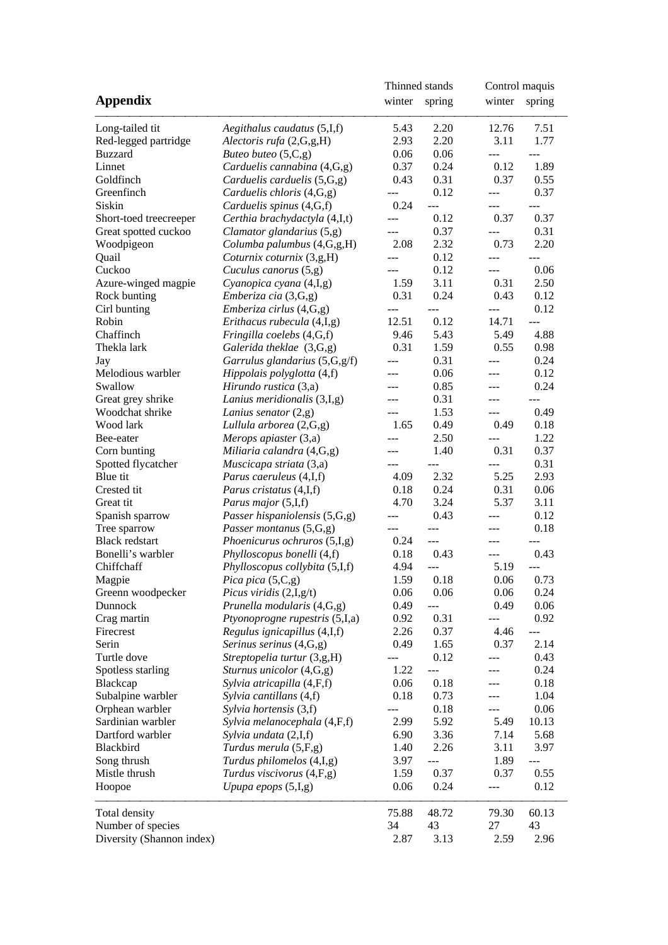|                           |                                  | Thinned stands |        | Control maquis |                |  |
|---------------------------|----------------------------------|----------------|--------|----------------|----------------|--|
| <b>Appendix</b>           |                                  | winter         | spring | winter         | spring         |  |
| Long-tailed tit           | Aegithalus caudatus (5,I,f)      | 5.43           | 2.20   | 12.76          | 7.51           |  |
| Red-legged partridge      | Alectoris rufa (2, G, g, H)      | 2.93           | 2.20   | 3.11           | 1.77           |  |
| <b>Buzzard</b>            | Buteo buteo (5,C,g)              | 0.06           | 0.06   | ---            |                |  |
| Linnet                    | Carduelis cannabina (4,G,g)      | 0.37           | 0.24   | 0.12           | 1.89           |  |
| Goldfinch                 | Carduelis carduelis (5,G,g)      | 0.43           | 0.31   | 0.37           | 0.55           |  |
| Greenfinch                | Carduelis chloris (4,G,g)        |                | 0.12   | ---            | 0.37           |  |
| Siskin                    | Carduelis spinus (4,G,f)         | 0.24           | ---    | ---            | $---$          |  |
| Short-toed treecreeper    | Certhia brachydactyla (4,I,t)    |                | 0.12   | 0.37           | 0.37           |  |
| Great spotted cuckoo      | Clamator glandarius (5,g)        | ---            | 0.37   | ---            | 0.31           |  |
| Woodpigeon                | Columba palumbus (4, G, g, H)    | 2.08           | 2.32   | 0.73           | 2.20           |  |
| Quail                     | Coturnix coturnix (3,g,H)        |                | 0.12   | ---            | ---            |  |
| Cuckoo                    | Cuculus canorus (5,g)            | $---$          | 0.12   | $---$          | 0.06           |  |
| Azure-winged magpie       | Cyanopica cyana (4,I,g)          | 1.59           | 3.11   | 0.31           | 2.50           |  |
| Rock bunting              | Emberiza cia (3,G,g)             | 0.31           | 0.24   | 0.43           | 0.12           |  |
| Cirl bunting              | <i>Emberiza cirlus</i> $(4,G,g)$ | ---            | ---    | ---            | 0.12           |  |
| Robin                     | Erithacus rubecula (4,I,g)       | 12.51          | 0.12   | 14.71          | $\overline{a}$ |  |
| Chaffinch                 | Fringilla coelebs (4,G,f)        | 9.46           | 5.43   | 5.49           | 4.88           |  |
| Thekla lark               | Galerida theklae (3,G,g)         | 0.31           | 1.59   | 0.55           | 0.98           |  |
| Jay                       | Garrulus glandarius (5,G,g/f)    | ---            | 0.31   | ---            | 0.24           |  |
| Melodious warbler         | Hippolais polyglotta (4,f)       | ---            | 0.06   | ---            | 0.12           |  |
| Swallow                   | Hirundo rustica (3,a)            | ---            | 0.85   | $---$          | 0.24           |  |
| Great grey shrike         | Lanius meridionalis $(3,I,g)$    | ---            | 0.31   | ---            | $---$          |  |
| Woodchat shrike           | Lanius senator $(2,g)$           |                | 1.53   | ---            | 0.49           |  |
| Wood lark                 | Lullula arborea (2,G,g)          | 1.65           | 0.49   | 0.49           | 0.18           |  |
| Bee-eater                 | Merops apiaster (3,a)            | ---            | 2.50   | $ -$           | 1.22           |  |
| Corn bunting              | Miliaria calandra (4,G,g)        |                | 1.40   | 0.31           | 0.37           |  |
| Spotted flycatcher        | Muscicapa striata (3,a)          |                |        | ---            | 0.31           |  |
| Blue tit                  | Parus caeruleus (4,I,f)          | 4.09           | 2.32   | 5.25           | 2.93           |  |
| Crested tit               | Parus cristatus (4,I,f)          | 0.18           | 0.24   | 0.31           | 0.06           |  |
| Great tit                 | Parus major (5,I,f)              | 4.70           | 3.24   | 5.37           | 3.11           |  |
| Spanish sparrow           | Passer hispaniolensis (5,G,g)    | ---            | 0.43   | ---            | 0.12           |  |
| Tree sparrow              | Passer montanus (5,G,g)          | ---            | ---    | ---            | 0.18           |  |
| <b>Black redstart</b>     | Phoenicurus ochruros (5,I,g)     | 0.24           | $---$  | ---            | ---            |  |
| Bonelli's warbler         | Phylloscopus bonelli (4,f)       | 0.18           | 0.43   | ---            | 0.43           |  |
| Chiffchaff                | Phylloscopus collybita (5,I,f)   | 4.94           | ---    | 5.19           | ---            |  |
| Magpie                    | Pica pica (5,C,g)                | 1.59           | 0.18   | 0.06           | 0.73           |  |
| Greenn woodpecker         | Picus viridis (2,I,g/t)          | 0.06           | 0.06   | 0.06           | 0.24           |  |
| Dunnock                   | Prunella modularis (4,G,g)       | 0.49           |        | 0.49           | 0.06           |  |
| Crag martin               | Ptyonoprogne rupestris (5,I,a)   | 0.92           | 0.31   | ---            | 0.92           |  |
| Firecrest                 | Regulus ignicapillus (4,I,f)     | 2.26           | 0.37   | 4.46           | $ -$           |  |
| Serin                     | Serinus serinus $(4,G,g)$        | 0.49           | 1.65   | 0.37           | 2.14           |  |
| Turtle dove               | Streptopelia turtur (3,g,H)      |                | 0.12   | ---            | 0.43           |  |
| Spotless starling         | Sturnus unicolor (4,G,g)         | 1.22           | ---    | ---            | 0.24           |  |
| Blackcap                  | Sylvia atricapilla (4,F,f)       | 0.06           | 0.18   | ---            | 0.18           |  |
| Subalpine warbler         | Sylvia cantillans (4,f)          | 0.18           | 0.73   | ---            | 1.04           |  |
| Orphean warbler           | Sylvia hortensis (3,f)           |                | 0.18   | ---            | 0.06           |  |
| Sardinian warbler         | Sylvia melanocephala (4,F,f)     | 2.99           | 5.92   | 5.49           | 10.13          |  |
| Dartford warbler          | Sylvia undata (2,I,f)            | 6.90           | 3.36   | 7.14           | 5.68           |  |
| Blackbird                 | Turdus merula (5,F,g)            | 1.40           | 2.26   | 3.11           | 3.97           |  |
| Song thrush               | Turdus philomelos (4,I,g)        | 3.97           | ---    | 1.89           | $---$          |  |
| Mistle thrush             | Turdus viscivorus (4,F,g)        | 1.59           | 0.37   | 0.37           | 0.55           |  |
| Hoopoe                    | Upupa epops $(5,I,g)$            | 0.06           | 0.24   | $---$          | 0.12           |  |
| Total density             |                                  | 75.88          | 48.72  | 79.30          | 60.13          |  |
| Number of species         |                                  | 34             | 43     | 27             | 43             |  |
| Diversity (Shannon index) |                                  | 2.87           | 3.13   | 2.59           | 2.96           |  |